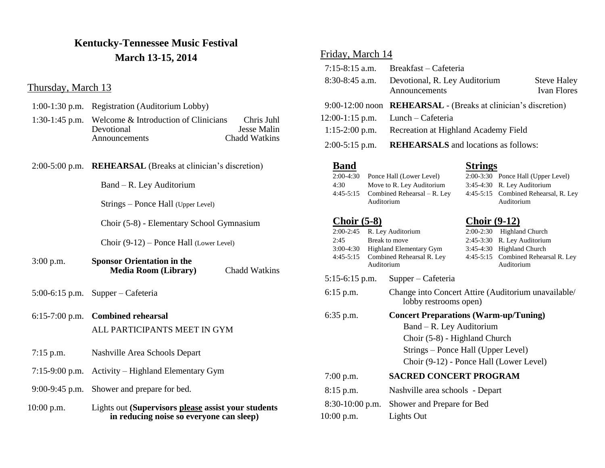## **Kentucky-Tennessee Music Festival March 13-15, 2014**

### Thursday, March 13

- 1:00-1:30 p.m. Registration (Auditorium Lobby)
- 1:30-1:45 p.m. Welcome & Introduction of Clinicians Chris Juhl Jesse Malin Announcements Chadd Watkins
- 2:00-5:00 p.m. **REHEARSAL** (Breaks at clinician's discretion)

Band – R. Ley Auditorium

Strings – Ponce Hall (Upper Level)

Choir (5-8) - Elementary School Gymnasium

Choir (9-12) – Ponce Hall (Lower Level)

- 3:00 p.m. **Sponsor Orientation in the Media Room (Library)** Chadd Watkins
- 5:00-6:15 p.m. Supper Cafeteria
- 6:15-7:00 p.m. **Combined rehearsal** ALL PARTICIPANTS MEET IN GYM
- 7:15 p.m. Nashville Area Schools Depart
- 7:15-9:00 p.m. Activity Highland Elementary Gym
- 9:00-9:45 p.m. Shower and prepare for bed.
- 10:00 p.m. Lights out **(Supervisors please assist your students in reducing noise so everyone can sleep)**

#### Friday, March 14

| $7:15-8:15$ a.m.  | Breakfast – Cafeteria                                                 |                                          |
|-------------------|-----------------------------------------------------------------------|------------------------------------------|
| $8:30-8:45$ a.m.  | Devotional, R. Ley Auditorium<br>Announcements                        | <b>Steve Haley</b><br><b>Ivan Flores</b> |
|                   | 9:00-12:00 noon <b>REHEARSAL</b> - (Breaks at clinician's discretion) |                                          |
| $12:00-1:15$ p.m. | Lunch – Cafeteria                                                     |                                          |
| $1:15-2:00$ p.m.  | Recreation at Highland Academy Field                                  |                                          |
| $2:00-5:15$ p.m.  | <b>REHEARSALS</b> and locations as follows:                           |                                          |

#### **Band**

2:00-4:30 Ponce Hall (Lower Level) 4:30 Move to R. Ley Auditorium 4:45-5:15 Combined Rehearsal – R. Ley Auditorium

### **Choir (5-8)**

| Choir $(5-8)$ |                                     | Choir $(9-12)$ |                                     |
|---------------|-------------------------------------|----------------|-------------------------------------|
|               | 2:00-2:45 R. Ley Auditorium         |                | $2:00-2:30$ Highland Church         |
| 2:45          | Break to move                       |                | 2:45-3:30 R. Ley Auditorium         |
|               | 3:00-4:30 Highland Elementary Gym   |                | 3:45-4:30 Highland Church           |
|               | 4:45-5:15 Combined Rehearsal R. Ley |                | 4:45-5:15 Combined Rehearsal R. Ley |
|               | Auditorium                          |                | Auditorium                          |

2:00-3:30 Ponce Hall (Upper Level) 3:45-4:30 R. Ley Auditorium

4:45-5:15 Combined Rehearsal, R. Ley Auditorium

**Strings**

5:15-6:15 p.m. Supper – Cafeteria

 6:15 p.m. Change into Concert Attire (Auditorium unavailable/ lobby restrooms open)

| 6:35 p.m.   | <b>Concert Preparations (Warm-up/Tuning)</b> |  |  |
|-------------|----------------------------------------------|--|--|
|             | Band – R. Ley Auditorium                     |  |  |
|             | Choir (5-8) - Highland Church                |  |  |
|             | Strings – Ponce Hall (Upper Level)           |  |  |
|             | Choir (9-12) - Ponce Hall (Lower Level)      |  |  |
| $7:00$ p.m. | <b>SACRED CONCERT PROGRAM</b>                |  |  |
| $8:15$ p.m. | Nashville area schools - Depart              |  |  |
|             | 8:30-10:00 p.m. Shower and Prepare for Bed   |  |  |

10:00 p.m. Lights Out